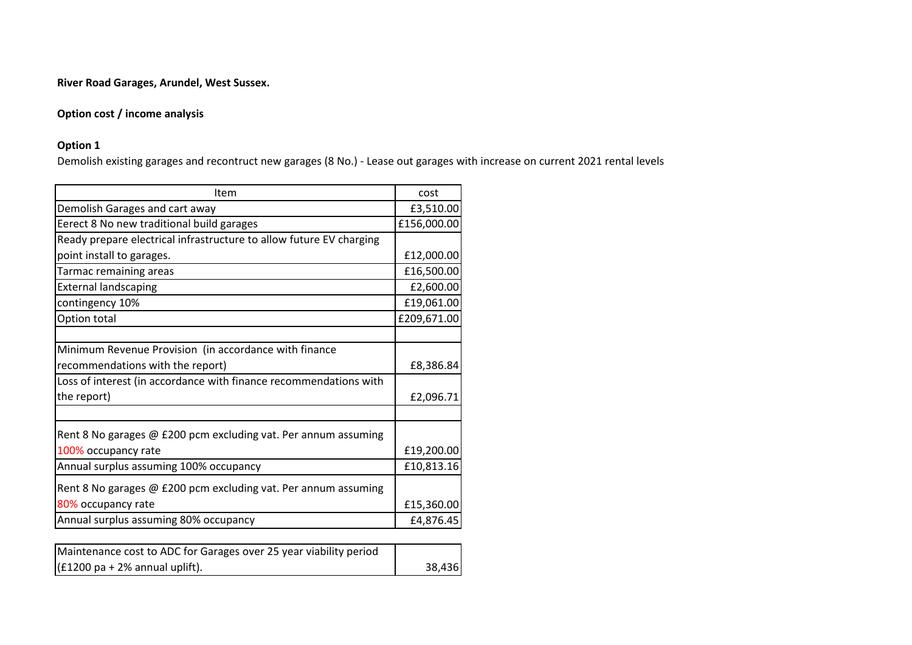# **Option cost / income analysis**

## **Option 1**

Demolish existing garages and recontruct new garages (8 No.) - Lease out garages with increase on current 2021 rental levels

| Demolish Garages and cart away<br>Eerect 8 No new traditional build garages<br>Ready prepare electrical infrastructure to allow future EV charging<br>point install to garages.<br>Tarmac remaining areas | £3,510.00<br>£156,000.00<br>£12,000.00<br>£16,500.00 |
|-----------------------------------------------------------------------------------------------------------------------------------------------------------------------------------------------------------|------------------------------------------------------|
|                                                                                                                                                                                                           |                                                      |
|                                                                                                                                                                                                           |                                                      |
|                                                                                                                                                                                                           |                                                      |
|                                                                                                                                                                                                           |                                                      |
|                                                                                                                                                                                                           |                                                      |
| <b>External landscaping</b>                                                                                                                                                                               | £2,600.00                                            |
| contingency 10%                                                                                                                                                                                           | £19,061.00                                           |
| Option total                                                                                                                                                                                              | £209,671.00                                          |
|                                                                                                                                                                                                           |                                                      |
| Minimum Revenue Provision (in accordance with finance                                                                                                                                                     |                                                      |
| recommendations with the report)                                                                                                                                                                          | £8,386.84                                            |
| Loss of interest (in accordance with finance recommendations with                                                                                                                                         |                                                      |
| the report)                                                                                                                                                                                               | £2,096.71                                            |
|                                                                                                                                                                                                           |                                                      |
| Rent 8 No garages @ £200 pcm excluding vat. Per annum assuming                                                                                                                                            |                                                      |
| 100% occupancy rate                                                                                                                                                                                       | £19,200.00                                           |
| Annual surplus assuming 100% occupancy                                                                                                                                                                    | £10,813.16                                           |
| Rent 8 No garages @ £200 pcm excluding vat. Per annum assuming                                                                                                                                            |                                                      |
| 80% occupancy rate                                                                                                                                                                                        | £15,360.00                                           |
| Annual surplus assuming 80% occupancy                                                                                                                                                                     | £4,876.45                                            |

| Maintenance cost to ADC for Garages over 25 year viability period |        |
|-------------------------------------------------------------------|--------|
| $ $ (£1200 pa + 2% annual uplift).                                | 38,436 |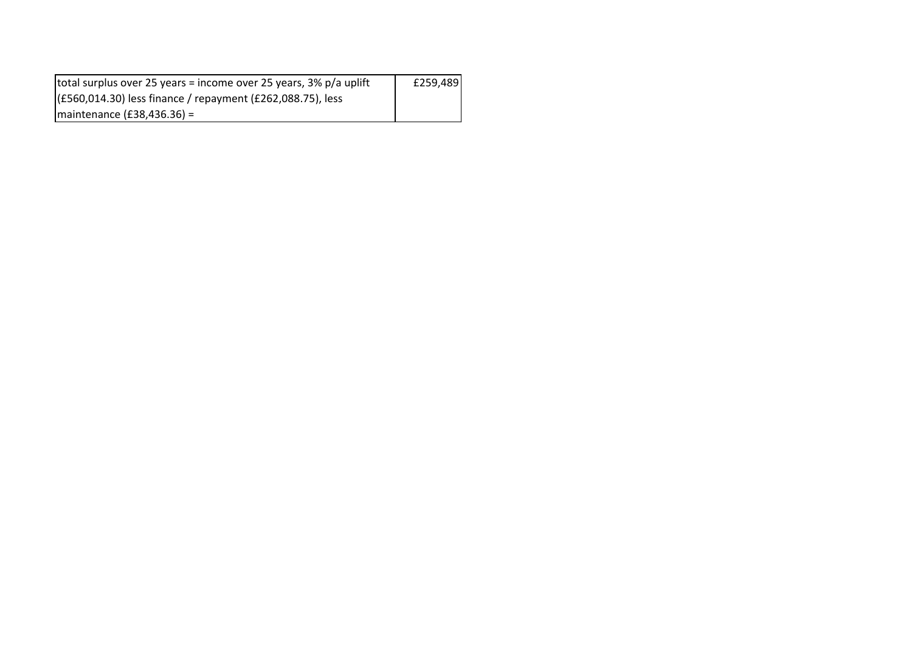| total surplus over 25 years = income over 25 years, 3% p/a uplift | £259,489 |
|-------------------------------------------------------------------|----------|
| (£560,014.30) less finance / repayment (£262,088.75), less        |          |
| $ $ maintenance (£38,436.36) =                                    |          |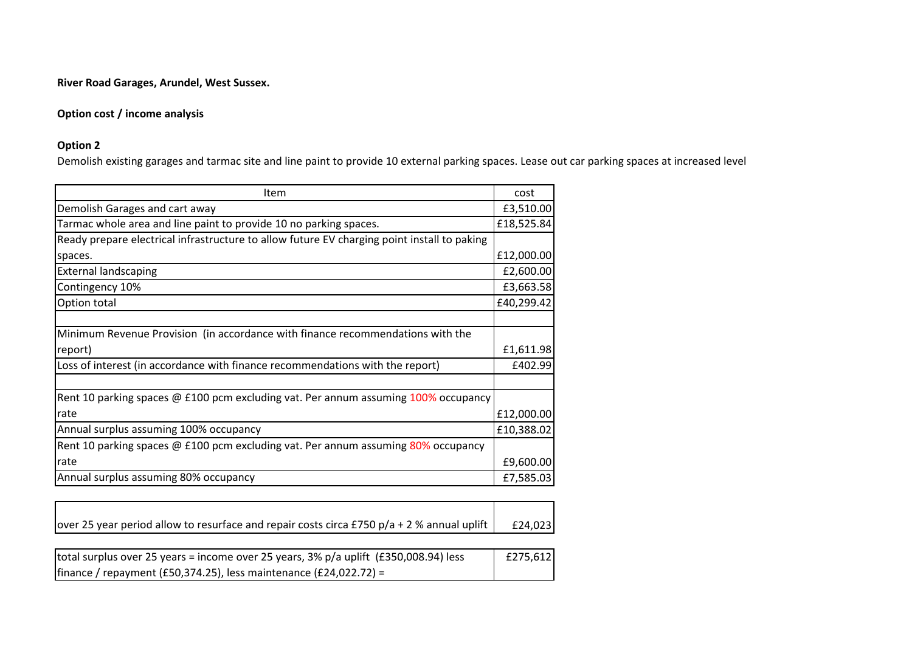# **Option cost / income analysis**

## **Option 2**

Demolish existing garages and tarmac site and line paint to provide 10 external parking spaces. Lease out car parking spaces at increased level

| Item                                                                                        | cost       |  |  |  |
|---------------------------------------------------------------------------------------------|------------|--|--|--|
| Demolish Garages and cart away                                                              | £3,510.00  |  |  |  |
| Tarmac whole area and line paint to provide 10 no parking spaces.                           |            |  |  |  |
| Ready prepare electrical infrastructure to allow future EV charging point install to paking |            |  |  |  |
| spaces.                                                                                     | £12,000.00 |  |  |  |
| <b>External landscaping</b>                                                                 | £2,600.00  |  |  |  |
| Contingency 10%                                                                             | £3,663.58  |  |  |  |
| Option total                                                                                | £40,299.42 |  |  |  |
|                                                                                             |            |  |  |  |
| Minimum Revenue Provision (in accordance with finance recommendations with the              |            |  |  |  |
| report)                                                                                     | £1,611.98  |  |  |  |
| Loss of interest (in accordance with finance recommendations with the report)               | £402.99    |  |  |  |
|                                                                                             |            |  |  |  |
| Rent 10 parking spaces @ £100 pcm excluding vat. Per annum assuming 100% occupancy          |            |  |  |  |
| rate                                                                                        | £12,000.00 |  |  |  |
| Annual surplus assuming 100% occupancy                                                      | £10,388.02 |  |  |  |
| Rent 10 parking spaces @ £100 pcm excluding vat. Per annum assuming 80% occupancy           |            |  |  |  |
| rate                                                                                        | £9,600.00  |  |  |  |
| Annual surplus assuming 80% occupancy                                                       | £7,585.03  |  |  |  |

| over 25 year period allow to resurface and repair costs circa £750 p/a + 2 % annual uplift | £24,023 |
|--------------------------------------------------------------------------------------------|---------|

| total surplus over 25 years = income over 25 years, $3\%$ p/a uplift (£350,008.94) less | £275,612 |
|-----------------------------------------------------------------------------------------|----------|
| $ $ finance / repayment (£50,374.25), less maintenance (£24,022.72) =                   |          |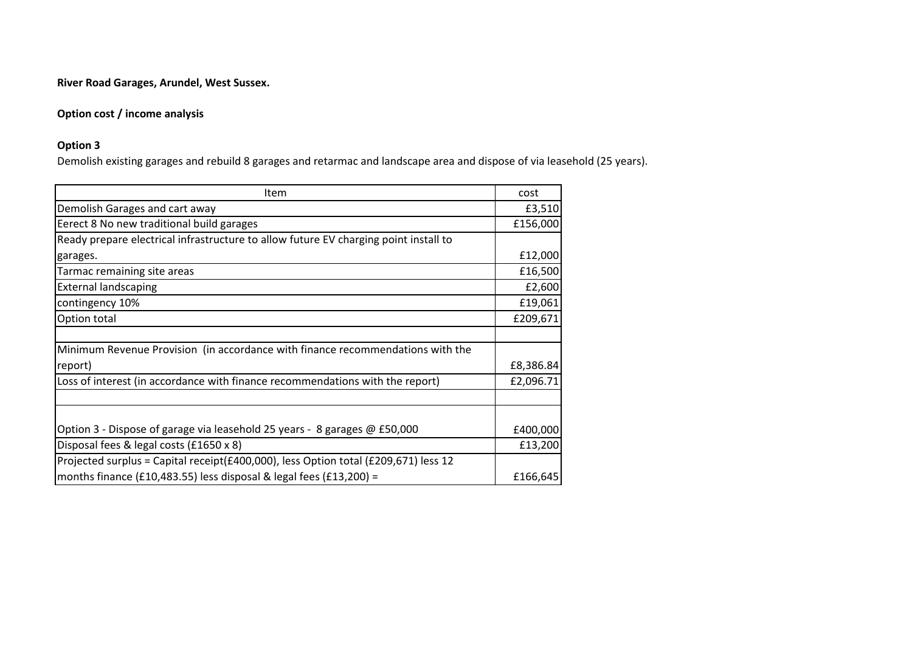# **Option cost / income analysis**

## **Option 3**

Demolish existing garages and rebuild 8 garages and retarmac and landscape area and dispose of via leasehold (25 years).

| Item                                                                                 | cost      |
|--------------------------------------------------------------------------------------|-----------|
| Demolish Garages and cart away                                                       | £3,510    |
| Eerect 8 No new traditional build garages                                            | £156,000  |
| Ready prepare electrical infrastructure to allow future EV charging point install to |           |
| garages.                                                                             | £12,000   |
| Tarmac remaining site areas                                                          | £16,500   |
| <b>External landscaping</b>                                                          | £2,600    |
| contingency 10%                                                                      | £19,061   |
| Option total                                                                         | £209,671  |
|                                                                                      |           |
| Minimum Revenue Provision (in accordance with finance recommendations with the       |           |
| report)                                                                              | £8,386.84 |
| Loss of interest (in accordance with finance recommendations with the report)        | £2,096.71 |
|                                                                                      |           |
|                                                                                      |           |
| Option 3 - Dispose of garage via leasehold 25 years - 8 garages @ £50,000            | £400,000  |
| Disposal fees & legal costs (£1650 x 8)                                              | £13,200   |
| Projected surplus = Capital receipt(£400,000), less Option total (£209,671) less 12  |           |
| months finance (£10,483.55) less disposal & legal fees (£13,200) =                   | £166,645  |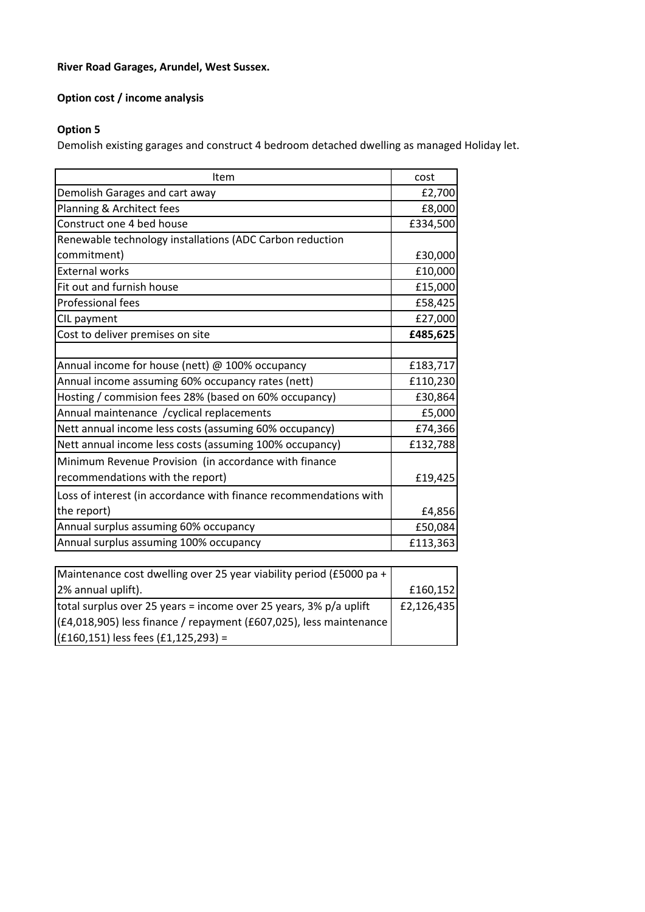# **Option cost / income analysis**

# **Option 5**

Demolish existing garages and construct 4 bedroom detached dwelling as managed Holiday let.

| Item                                                              | cost     |
|-------------------------------------------------------------------|----------|
| Demolish Garages and cart away                                    | £2,700   |
| Planning & Architect fees                                         | £8,000   |
| Construct one 4 bed house                                         | £334,500 |
| Renewable technology installations (ADC Carbon reduction          |          |
| commitment)                                                       | £30,000  |
| <b>External works</b>                                             | £10,000  |
| Fit out and furnish house                                         | £15,000  |
| <b>Professional fees</b>                                          | £58,425  |
| CIL payment                                                       | £27,000  |
| Cost to deliver premises on site                                  | £485,625 |
|                                                                   |          |
| Annual income for house (nett) @ 100% occupancy                   | £183,717 |
| Annual income assuming 60% occupancy rates (nett)                 | £110,230 |
| Hosting / commision fees 28% (based on 60% occupancy)             | £30,864  |
| Annual maintenance / cyclical replacements                        | £5,000   |
| Nett annual income less costs (assuming 60% occupancy)            | £74,366  |
| Nett annual income less costs (assuming 100% occupancy)           | £132,788 |
| Minimum Revenue Provision (in accordance with finance             |          |
| recommendations with the report)                                  | £19,425  |
| Loss of interest (in accordance with finance recommendations with |          |
| the report)                                                       | £4,856   |
| Annual surplus assuming 60% occupancy                             | £50,084  |
| Annual surplus assuming 100% occupancy                            | £113,363 |

| Maintenance cost dwelling over 25 year viability period (£5000 pa +  |              |
|----------------------------------------------------------------------|--------------|
| 2% annual uplift).                                                   | £160,152     |
| total surplus over 25 years = income over 25 years, 3% p/a uplift    | E2, 126, 435 |
| $(£4,018,905)$ less finance / repayment (£607,025), less maintenance |              |
| $(f160, 151)$ less fees $(f1, 125, 293) =$                           |              |